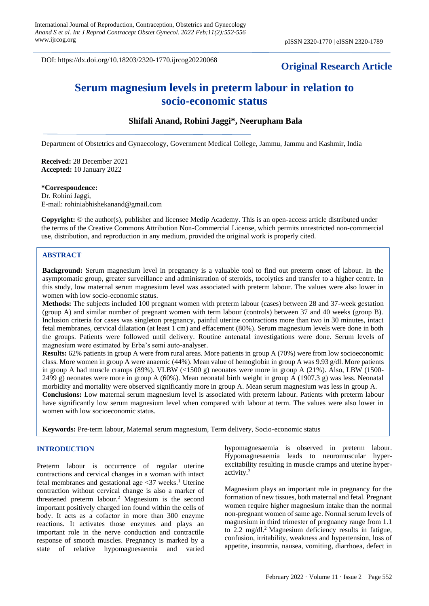DOI: https://dx.doi.org/10.18203/2320-1770.ijrcog20220068

# **Original Research Article**

# **Serum magnesium levels in preterm labour in relation to socio-economic status**

# **Shifali Anand, Rohini Jaggi\*, Neerupham Bala**

Department of Obstetrics and Gynaecology, Government Medical College, Jammu, Jammu and Kashmir, India

**Received:** 28 December 2021 **Accepted:** 10 January 2022

#### **\*Correspondence:**

Dr. Rohini Jaggi, E-mail: rohiniabhishekanand@gmail.com

**Copyright:** © the author(s), publisher and licensee Medip Academy. This is an open-access article distributed under the terms of the Creative Commons Attribution Non-Commercial License, which permits unrestricted non-commercial use, distribution, and reproduction in any medium, provided the original work is properly cited.

#### **ABSTRACT**

**Background:** Serum magnesium level in pregnancy is a valuable tool to find out preterm onset of labour. In the asymptomatic group, greater surveillance and administration of steroids, tocolytics and transfer to a higher centre. In this study, low maternal serum magnesium level was associated with preterm labour. The values were also lower in women with low socio-economic status.

**Methods:** The subjects included 100 pregnant women with preterm labour (cases) between 28 and 37-week gestation (group A) and similar number of pregnant women with term labour (controls) between 37 and 40 weeks (group B). Inclusion criteria for cases was singleton pregnancy, painful uterine contractions more than two in 30 minutes, intact fetal membranes, cervical dilatation (at least 1 cm) and effacement (80%). Serum magnesium levels were done in both the groups. Patients were followed until delivery. Routine antenatal investigations were done. Serum levels of magnesium were estimated by Erba's semi auto-analyser.

**Results:** 62% patients in group A were from rural areas. More patients in group A (70%) were from low socioeconomic class. More women in group A were anaemic (44%). Mean value of hemoglobin in group A was 9.93 g/dl. More patients in group A had muscle cramps (89%). VLBW (<1500 g) neonates were more in group A (21%). Also, LBW (1500- 2499 g) neonates were more in group A (60%). Mean neonatal birth weight in group A (1907.3 g) was less. Neonatal morbidity and mortality were observed significantly more in group A. Mean serum magnesium was less in group A. **Conclusions:** Low maternal serum magnesium level is associated with preterm labour. Patients with preterm labour have significantly low serum magnesium level when compared with labour at term. The values were also lower in women with low socioeconomic status.

**Keywords:** Pre-term labour, Maternal serum magnesium, Term delivery, Socio-economic status

#### **INTRODUCTION**

Preterm labour is occurrence of regular uterine contractions and cervical changes in a woman with intact fetal membranes and gestational age  $\langle 37 \rangle$  weeks.<sup>1</sup> Uterine contraction without cervical change is also a marker of threatened preterm labour.<sup>2</sup> Magnesium is the second important positively charged ion found within the cells of body. It acts as a cofactor in more than 300 enzyme reactions. It activates those enzymes and plays an important role in the nerve conduction and contractile response of smooth muscles. Pregnancy is marked by a state of relative hypomagnesaemia and varied hypomagnesaemia is observed in preterm labour. Hypomagnesaemia leads to neuromuscular hyperexcitability resulting in muscle cramps and uterine hyperactivity.<sup>3</sup>

Magnesium plays an important role in pregnancy for the formation of new tissues, both maternal and fetal. Pregnant women require higher magnesium intake than the normal non-pregnant women of same age. Normal serum levels of magnesium in third trimester of pregnancy range from 1.1 to 2.2 mg/dl.<sup>2</sup> Magnesium deficiency results in fatigue, confusion, irritability, weakness and hypertension, loss of appetite, insomnia, nausea, vomiting, diarrhoea, defect in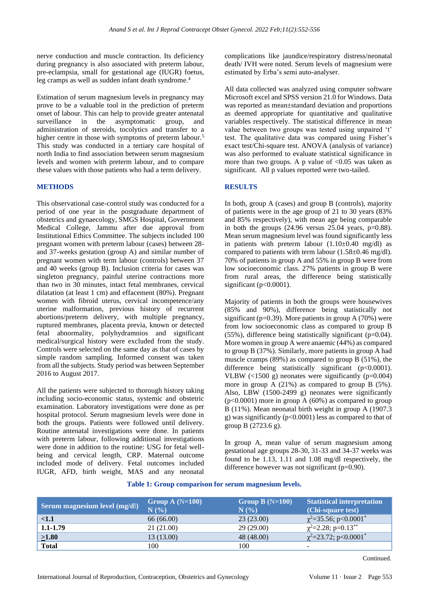nerve conduction and muscle contraction. Its deficiency during pregnancy is also associated with preterm labour, pre-eclampsia, small for gestational age (IUGR) foetus, leg cramps as well as sudden infant death syndrome.<sup>4</sup>

Estimation of serum magnesium levels in pregnancy may prove to be a valuable tool in the prediction of preterm onset of labour. This can help to provide greater antenatal surveillance in the asymptomatic group, and administration of steroids, tocolytics and transfer to a higher centre in those with symptoms of preterm labour.<sup>5</sup> This study was conducted in a tertiary care hospital of north India to find association between serum magnesium levels and women with preterm labour, and to compare these values with those patients who had a term delivery.

## **METHODS**

This observational case-control study was conducted for a period of one year in the postgraduate department of obstetrics and gynaecology, SMGS Hospital, Government Medical College, Jammu after due approval from Institutional Ethics Committee. The subjects included 100 pregnant women with preterm labour (cases) between 28 and 37-weeks gestation (group A) and similar number of pregnant women with term labour (controls) between 37 and 40 weeks (group B). Inclusion criteria for cases was singleton pregnancy, painful uterine contractions more than two in 30 minutes, intact fetal membranes, cervical dilatation (at least 1 cm) and effacement (80%). Pregnant women with fibroid uterus, cervical incompetence/any uterine malformation, previous history of recurrent abortions/preterm delivery, with multiple pregnancy, ruptured membranes, placenta previa, known or detected fetal abnormality, polyhydramnios and significant medical/surgical history were excluded from the study. Controls were selected on the same day as that of cases by simple random sampling. Informed consent was taken from all the subjects. Study period was between September 2016 to August 2017.

All the patients were subjected to thorough history taking including socio-economic status, systemic and obstetric examination. Laboratory investigations were done as per hospital protocol. Serum magnesium levels were done in both the groups. Patients were followed until delivery. Routine antenatal investigations were done. In patients with preterm labour, following additional investigations were done in addition to the routine: USG for fetal wellbeing and cervical length, CRP. Maternal outcome included mode of delivery. Fetal outcomes included IUGR, AFD, birth weight, MAS and any neonatal complications like jaundice/respiratory distress/neonatal death/ IVH were noted. Serum levels of magnesium were estimated by Erba's semi auto-analyser.

All data collected was analyzed using computer software Microsoft excel and SPSS version 21.0 for Windows. Data was reported as mean±standard deviation and proportions as deemed appropriate for quantitative and qualitative variables respectively. The statistical difference in mean value between two groups was tested using unpaired 't' test. The qualitative data was compared using Fisher's exact test/Chi-square test. ANOVA (analysis of variance) was also performed to evaluate statistical significance in more than two groups. A p value of  $\langle 0.05 \rangle$  was taken as significant. All p values reported were two-tailed.

## **RESULTS**

In both, group A (cases) and group B (controls), majority of patients were in the age group of 21 to 30 years (83% and 85% respectively), with mean age being comparable in both the groups  $(24.96 \text{ versus } 25.04 \text{ years}, \text{ p=0.88}).$ Mean serum magnesium level was found significantly less in patients with preterm labour  $(1.10\pm0.40 \text{ mg/dl})$  as compared to patients with term labour  $(1.58\pm0.46 \text{ mg/dl})$ . 70% of patients in group A and 55% in group B were from low socioeconomic class. 27% patients in group B were from rural areas, the difference being statistically significant (p<0.0001).

Majority of patients in both the groups were housewives (85% and 90%), difference being statistically not significant (p=0.39). More patients in group A (70%) were from low socioeconomic class as compared to group B  $(55\%)$ , difference being statistically significant (p=0.04). More women in group A were anaemic (44%) as compared to group B (37%). Similarly, more patients in group A had muscle cramps (89%) as compared to group B (51%), the difference being statistically significant (p<0.0001). VLBW  $\left($ <1500 g) neonates were significantly (p=0.004) more in group A (21%) as compared to group B (5%). Also, LBW (1500-2499 g) neonates were significantly  $(p<0.0001)$  more in group A (60%) as compared to group B (11%). Mean neonatal birth weight in group A (1907.3 g) was significantly  $(p<0.0001)$  less as compared to that of group B (2723.6 g).

In group A, mean value of serum magnesium among gestational age groups 28-30, 31-33 and 34-37 weeks was found to be 1.13, 1.11 and 1.08 mg/dl respectively, the difference however was not significant (p=0.90).

#### **Table 1: Group comparison for serum magnesium levels.**

| Serum magnesium level (mg/dl) | Group A $(N=100)$<br>N(%) | Group B $(N=100)$<br>N(% | <b>Statistical interpretation</b><br>(Chi-square test) |
|-------------------------------|---------------------------|--------------------------|--------------------------------------------------------|
| <1.1                          | 66 (66.00)                | 23(23.00)                | $\chi^2$ =35.56; p<0.0001 <sup>*</sup>                 |
| $1.1 - 1.79$                  | 21 (21.00)                | 29(29.00)                | $\chi^2 = 2.28$ ; p=0.13 <sup>**</sup>                 |
| $\geq1.80$                    | 13 (13.00)                | 48 (48.00)               | $\chi^2$ =23.72; p<0.0001 <sup>*</sup>                 |
| <b>Total</b>                  | 100                       | 100                      | -                                                      |

Continued.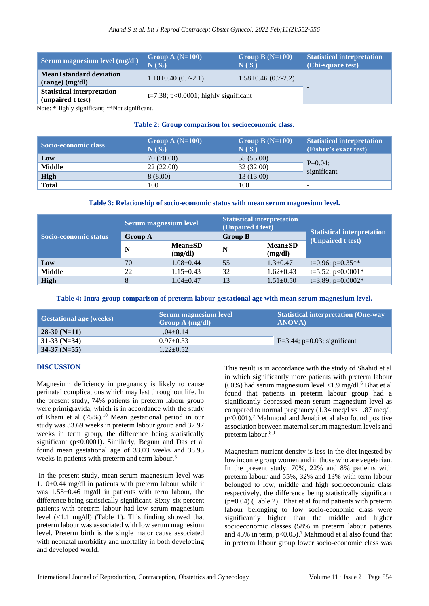| Serum magnesium level (mg/dl)                          | Group A $(N=100)$<br>N(%)               | Group B $(N=100)$<br>N(%  | <b>Statistical interpretation</b><br>(Chi-square test) |
|--------------------------------------------------------|-----------------------------------------|---------------------------|--------------------------------------------------------|
| Mean±standard deviation<br>$(range)$ (mg/dl)           | $1.10\pm0.40$ (0.7-2.1)                 | $1.58 \pm 0.46$ (0.7-2.2) |                                                        |
| <b>Statistical interpretation</b><br>(unpaired t test) | $t=7.38$ ; p<0.0001; highly significant |                           |                                                        |

Note: \*Highly significant; \*\*Not significant.

# **Table 2: Group comparison for socioeconomic class.**

| Socio-economic class | Group A $(N=100)$<br>N(% | Group B $(N=100)$<br>N(% | <b>Statistical interpretation</b><br>(Fisher's exact test) |
|----------------------|--------------------------|--------------------------|------------------------------------------------------------|
| Low                  | 70 (70.00)               | 55 (55.00)               |                                                            |
| <b>Middle</b>        | 22(22.00)                | 32(32.00)                | $P=0.04$ ;<br>significant                                  |
| <b>High</b>          | 8(8.00)                  | 13(13.00)                |                                                            |
| <b>Total</b>         | 100                      | 100                      | -                                                          |

# **Table 3: Relationship of socio-economic status with mean serum magnesium level.**

|                       | <b>Serum magnesium level</b> |                          | <b>Statistical interpretation</b><br>(Unpaired t test) |                          | <b>Statistical interpretation</b><br>(Unpaired t test) |
|-----------------------|------------------------------|--------------------------|--------------------------------------------------------|--------------------------|--------------------------------------------------------|
| Socio-economic status | <b>Group A</b>               |                          | <b>Group B</b>                                         |                          |                                                        |
|                       | $\mathbf N$                  | $Mean \pm SD$<br>(mg/dl) | N                                                      | $Mean \pm SD$<br>(mg/dl) |                                                        |
| Low                   | 70                           | $1.08 \pm 0.44$          | 55                                                     | $1.3 \pm 0.47$           | $t=0.96$ ; $p=0.35**$                                  |
| <b>Middle</b>         | 22                           | $1.15 \pm 0.43$          | 32                                                     | $1.62+0.43$              | $t=5.52$ ; p<0.0001*                                   |
| High                  | 8                            | $1.04 \pm 0.47$          | 13                                                     | $1.51 \pm 0.50$          | $t=3.89$ ; $p=0.0002*$                                 |

**Table 4: Intra-group comparison of preterm labour gestational age with mean serum magnesium level.**

| <b>Gestational age (weeks)</b> | <b>Serum magnesium level</b><br>Group $A$ (mg/dl) | <b>Statistical interpretation (One-way)</b><br><b>ANOVA</b> |  |
|--------------------------------|---------------------------------------------------|-------------------------------------------------------------|--|
| $28-30(N=11)$                  | $1.04 + 0.14$                                     |                                                             |  |
| $31-33$ (N=34)                 | $0.97+0.33$                                       | $F=3.44$ ; p=0.03; significant                              |  |
| $34-37$ (N=55)                 | $1.22 + 0.52$                                     |                                                             |  |

# **DISCUSSION**

Magnesium deficiency in pregnancy is likely to cause perinatal complications which may last throughout life. In the present study, 74% patients in preterm labour group were primigravida, which is in accordance with the study of Khani et al (75%).<sup>10</sup> Mean gestational period in our study was 33.69 weeks in preterm labour group and 37.97 weeks in term group, the difference being statistically significant (p<0.0001). Similarly, Begum and Das et al found mean gestational age of 33.03 weeks and 38.95 weeks in patients with preterm and term labour.<sup>5</sup>

In the present study, mean serum magnesium level was 1.10±0.44 mg/dl in patients with preterm labour while it was 1.58±0.46 mg/dl in patients with term labour, the difference being statistically significant. Sixty-six percent patients with preterm labour had low serum magnesium level  $\langle 1.1 \text{ mg/dl} \rangle$  (Table 1). This finding showed that preterm labour was associated with low serum magnesium level. Preterm birth is the single major cause associated with neonatal morbidity and mortality in both developing and developed world.

This result is in accordance with the study of Shahid et al in which significantly more patients with preterm labour (60%) had serum magnesium level <1.9 mg/dl.<sup>6</sup> Bhat et al found that patients in preterm labour group had a significantly depressed mean serum magnesium level as compared to normal pregnancy (1.34 meq/l vs 1.87 meq/l;  $p<0.001$ .<sup>7</sup> Mahmoud and Jenabi et al also found positive association between maternal serum magnesium levels and preterm labour.8,9

Magnesium nutrient density is less in the diet ingested by low income group women and in those who are vegetarian. In the present study, 70%, 22% and 8% patients with preterm labour and 55%, 32% and 13% with term labour belonged to low, middle and high socioeconomic class respectively, the difference being statistically significant  $(p=0.04)$  (Table 2). Bhat et al found patients with preterm labour belonging to low socio-economic class were significantly higher than the middle and higher socioeconomic classes (58% in preterm labour patients and 45% in term,  $p<0.05$ ).<sup>7</sup> Mahmoud et al also found that in preterm labour group lower socio-economic class was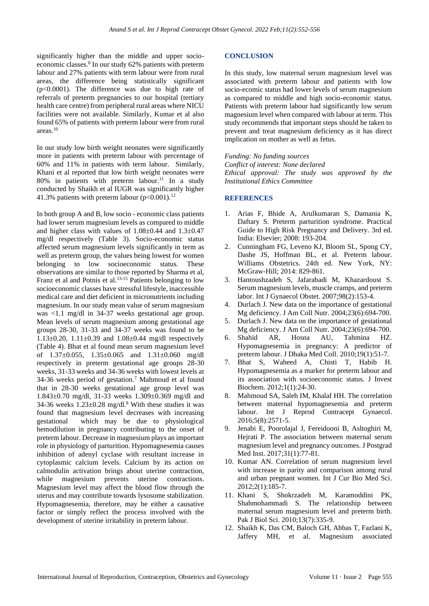significantly higher than the middle and upper socioeconomic classes.<sup>8</sup> In our study 62% patients with preterm labour and 27% patients with term labour were from rural areas, the difference being statistically significant (p<0.0001). The difference was due to high rate of referrals of preterm pregnancies to our hospital (tertiary health care centre) from peripheral rural areas where NICU facilities were not available. Similarly, Kumar et al also found 65% of patients with preterm labour were from rural areas.<sup>10</sup>

In our study low birth weight neonates were significantly more in patients with preterm labour with percentage of 60% and 11% in patients with term labour. Similarly, Khani et al reported that low birth weight neonates were 80% in patients with preterm labour.<sup>11</sup> In a study conducted by Shaikh et al IUGR was significantly higher 41.3% patients with preterm labour  $(p<0.001)$ .<sup>12</sup>

In both group A and B, low socio - economic class patients had lower serum magnesium levels as compared to middle and higher class with values of  $1.08 \pm 0.44$  and  $1.3 \pm 0.47$ mg/dl respectively (Table 3). Socio-economic status affected serum magnesium levels significantly in term as well as preterm group, the values being lowest for women belonging to low socioeconomic status. These observations are similar to those reported by Sharma et al, Franz et al and Potnis et al.<sup>13-15</sup> Patients belonging to low socioeconomic classes have stressful lifestyle, inaccessible medical care and diet deficient in micronutrients including magnesium. In our study mean value of serum magnesium was <1.1 mg/dl in 34-37 weeks gestational age group. Mean levels of serum magnesium among gestational age groups 28-30, 31-33 and 34-37 weeks was found to be  $1.13\pm0.20$ ,  $1.11\pm0.39$  and  $1.08\pm0.44$  mg/dl respectively (Table 4). Bhat et al found mean serum magnesium level of 1.37±0.055, 1.35±0.065 and 1.31±0.060 mg/dl respectively in preterm gestational age groups 28-30 weeks, 31-33 weeks and 34-36 weeks with lowest levels at 34-36 weeks period of gestation.<sup>7</sup> Mahmoud et al found that in 28-30 weeks gestational age group level was 1.843±0.70 mg/dl, 31-33 weeks 1.309±0.369 mg/dl and 34-36 weeks  $1.23 \pm 0.28$  mg/dl.<sup>8</sup> With these studies it was found that magnesium level decreases with increasing gestational which may be due to physiological hemodilution in pregnancy contributing to the onset of preterm labour. Decrease in magnesium plays an important role in physiology of parturition. Hypomagnesemia causes inhibition of adenyl cyclase with resultant increase in cytoplasmic calcium levels. Calcium by its action on calmodulin activation brings about uterine contraction, while magnesium prevents uterine contractions. Magnesium level may affect the blood flow through the uterus and may contribute towards lysosome stabilization. Hypomagnesemia, therefore, may be either a causative factor or simply reflect the process involved with the development of uterine irritability in preterm labour.

#### **CONCLUSION**

In this study, low maternal serum magnesium level was associated with preterm labour and patients with low socio-ecomic status had lower levels of serum magnesium as compared to middle and high socio-economic status. Patients with preterm labour had significantly low serum magnesium level when compared with labour at term. This study recommends that important steps should be taken to prevent and treat magnesium deficiency as it has direct implication on mother as well as fetus.

*Funding: No funding sources Conflict of interest: None declared Ethical approval: The study was approved by the Institutional Ethics Committee*

#### **REFERENCES**

- 1. Arias F, Bhide A, Arulkumaran S, Damania K, Daftary S. Preterm parturition syndrome. Practical Guide to High Risk Pregnancy and Delivery. 3rd ed. India: Elsevier; 2008: 193-204.
- 2. Cunningham FG, Leveno KJ, Bloom SL, Spong CY, Dashe JS, Hoffman BL, et al. Preterm labour. Williams Obstetrics. 24th ed. New York, NY: McGraw-Hill; 2014: 829-861.
- 3. Hantoushzadeh S, Jafarabadi M, Khazardoust S. Serum magnesium levels, muscle cramps, and preterm labor. Int J Gynaecol Obstet. 2007;98(2):153-4.
- 4. Durlach J. New data on the importance of gestational Mg deficiency. J Am Coll Nutr. 2004;23(6):694-700.
- 5. Durlach J. New data on the importance of gestational Mg deficiency. J Am Coll Nutr. 2004;23(6):694-700.
- 6. Shahid AR, Hosna AU, Tahmina HZ. Hypomagnesemia in pregnancy: A predictor of preterm labour. J Dhaka Med Coll. 2010;19(1):51-7.
- 7. Bhat S, Waheed A, Chisti T, Habib H. Hypomagnesemia as a marker for preterm labour and its association with socioeconomic status. J Invest Biochem. 2012;1(1):24-30.
- 8. Mahmoud SA, Saleh IM, Khalaf HH. The correlation between maternal hypomagnesemia and preterm labour. Int J Reprod Contracept Gynaecol. 2016;5(8):2571-5.
- 9. Jenabi E, Poorolajal J, Fereidooni B, Asltoghiri M, Hejrati P. The association between maternal serum magnesium level and pregnancy outcomes. J Postgrad Med Inst. 2017;31(1):77-81.
- 10. Kumar AN. Correlation of serum magnesium level with increase in parity and comparison among rural and urban pregnant women. Int J Cur Bio Med Sci. 2012;2(1):185-7.
- 11. Khani S, Shokrzadeh M, Karamoddini PK, Shahmohammadi S. The relationship between maternal serum magnesium level and preterm birth. Pak J Biol Sci. 2010;13(7):335-9.
- 12. Shaikh K, Das CM, Baloch GH, Abbas T, Fazlani K, Jaffery MH, et al. Magnesium associated